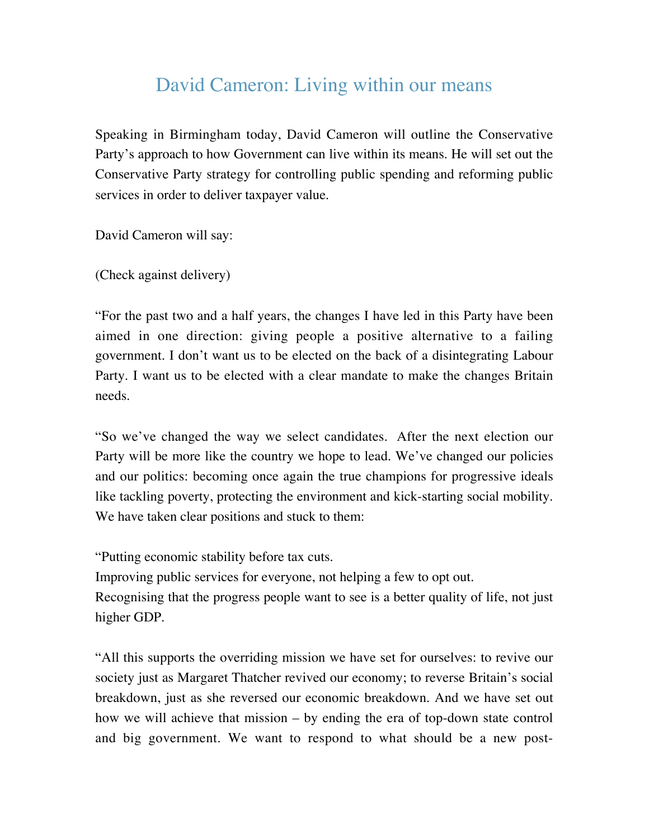# David Cameron: Living within our means

Speaking in Birmingham today, David Cameron will outline the Conservative Party's approach to how Government can live within its means. He will set out the Conservative Party strategy for controlling public spending and reforming public services in order to deliver taxpayer value.

David Cameron will say:

(Check against delivery)

"For the past two and a half years, the changes I have led in this Party have been aimed in one direction: giving people a positive alternative to a failing government. I don't want us to be elected on the back of a disintegrating Labour Party. I want us to be elected with a clear mandate to make the changes Britain needs.

"So we've changed the way we select candidates. After the next election our Party will be more like the country we hope to lead. We've changed our policies and our politics: becoming once again the true champions for progressive ideals like tackling poverty, protecting the environment and kick-starting social mobility. We have taken clear positions and stuck to them:

"Putting economic stability before tax cuts.

Improving public services for everyone, not helping a few to opt out. Recognising that the progress people want to see is a better quality of life, not just higher GDP.

"All this supports the overriding mission we have set for ourselves: to revive our society just as Margaret Thatcher revived our economy; to reverse Britain's social breakdown, just as she reversed our economic breakdown. And we have set out how we will achieve that mission – by ending the era of top-down state control and big government. We want to respond to what should be a new post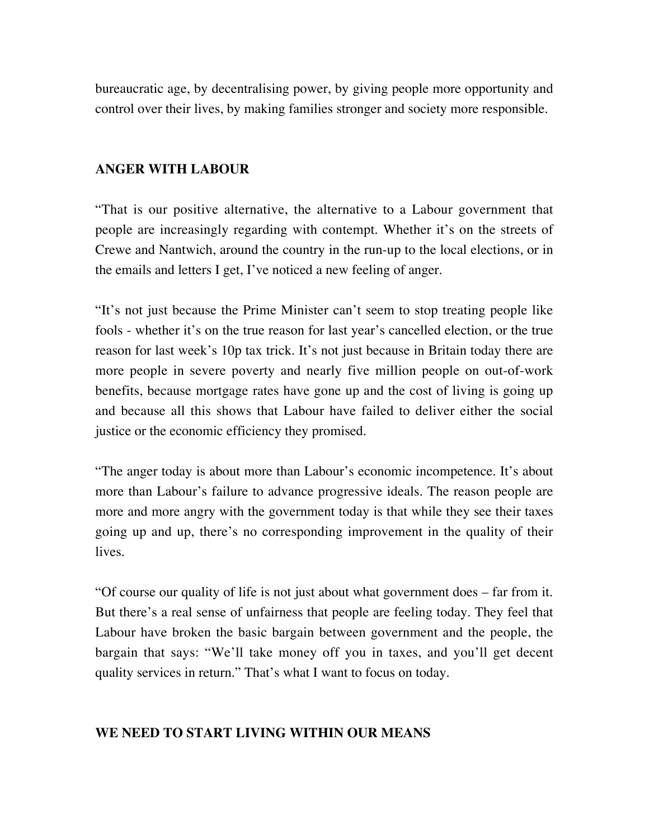bureaucratic age, by decentralising power, by giving people more opportunity and control over their lives, by making families stronger and society more responsible.

### **ANGER WITH LABOUR**

"That is our positive alternative, the alternative to a Labour government that people are increasingly regarding with contempt. Whether it's on the streets of Crewe and Nantwich, around the country in the run-up to the local elections, or in the emails and letters I get, I've noticed a new feeling of anger.

"It's not just because the Prime Minister can't seem to stop treating people like fools - whether it's on the true reason for last year's cancelled election, or the true reason for last week's 10p tax trick. It's not just because in Britain today there are more people in severe poverty and nearly five million people on out-of-work benefits, because mortgage rates have gone up and the cost of living is going up and because all this shows that Labour have failed to deliver either the social justice or the economic efficiency they promised.

"The anger today is about more than Labour's economic incompetence. It's about more than Labour's failure to advance progressive ideals. The reason people are more and more angry with the government today is that while they see their taxes going up and up, there's no corresponding improvement in the quality of their lives.

"Of course our quality of life is not just about what government does – far from it. But there's a real sense of unfairness that people are feeling today. They feel that Labour have broken the basic bargain between government and the people, the bargain that says: "We'll take money off you in taxes, and you'll get decent quality services in return." That's what I want to focus on today.

#### **WE NEED TO START LIVING WITHIN OUR MEANS**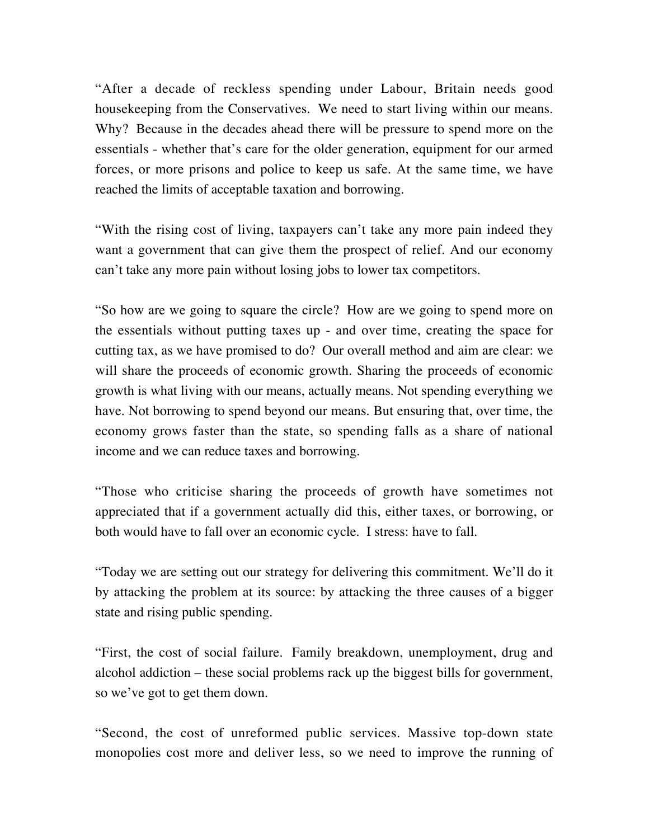"After a decade of reckless spending under Labour, Britain needs good housekeeping from the Conservatives. We need to start living within our means. Why? Because in the decades ahead there will be pressure to spend more on the essentials - whether that's care for the older generation, equipment for our armed forces, or more prisons and police to keep us safe. At the same time, we have reached the limits of acceptable taxation and borrowing.

"With the rising cost of living, taxpayers can't take any more pain indeed they want a government that can give them the prospect of relief. And our economy can't take any more pain without losing jobs to lower tax competitors.

"So how are we going to square the circle? How are we going to spend more on the essentials without putting taxes up - and over time, creating the space for cutting tax, as we have promised to do? Our overall method and aim are clear: we will share the proceeds of economic growth. Sharing the proceeds of economic growth is what living with our means, actually means. Not spending everything we have. Not borrowing to spend beyond our means. But ensuring that, over time, the economy grows faster than the state, so spending falls as a share of national income and we can reduce taxes and borrowing.

"Those who criticise sharing the proceeds of growth have sometimes not appreciated that if a government actually did this, either taxes, or borrowing, or both would have to fall over an economic cycle. I stress: have to fall.

"Today we are setting out our strategy for delivering this commitment. We'll do it by attacking the problem at its source: by attacking the three causes of a bigger state and rising public spending.

"First, the cost of social failure. Family breakdown, unemployment, drug and alcohol addiction – these social problems rack up the biggest bills for government, so we've got to get them down.

"Second, the cost of unreformed public services. Massive top-down state monopolies cost more and deliver less, so we need to improve the running of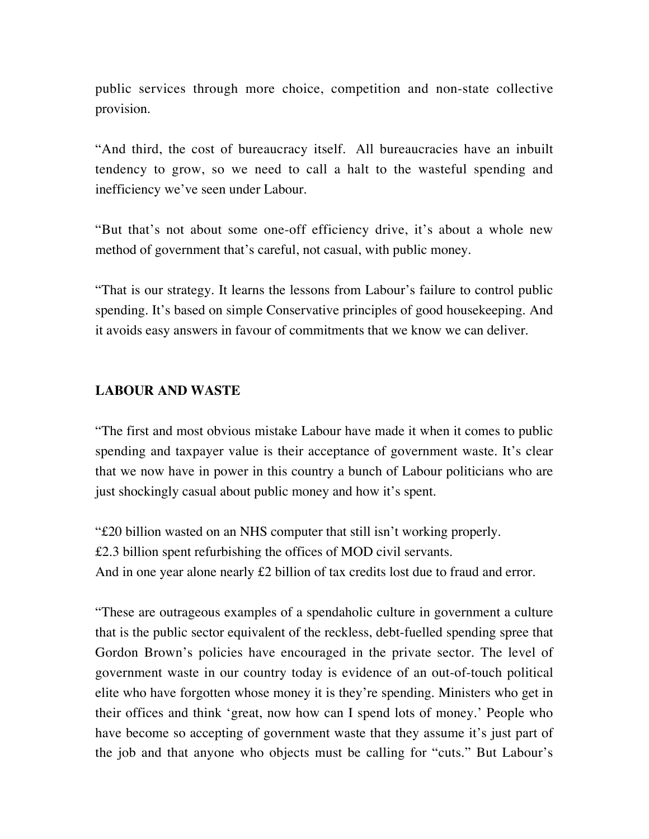public services through more choice, competition and non-state collective provision.

"And third, the cost of bureaucracy itself. All bureaucracies have an inbuilt tendency to grow, so we need to call a halt to the wasteful spending and inefficiency we've seen under Labour.

"But that's not about some one-off efficiency drive, it's about a whole new method of government that's careful, not casual, with public money.

"That is our strategy. It learns the lessons from Labour's failure to control public spending. It's based on simple Conservative principles of good housekeeping. And it avoids easy answers in favour of commitments that we know we can deliver.

## **LABOUR AND WASTE**

"The first and most obvious mistake Labour have made it when it comes to public spending and taxpayer value is their acceptance of government waste. It's clear that we now have in power in this country a bunch of Labour politicians who are just shockingly casual about public money and how it's spent.

"£20 billion wasted on an NHS computer that still isn't working properly. £2.3 billion spent refurbishing the offices of MOD civil servants. And in one year alone nearly £2 billion of tax credits lost due to fraud and error.

"These are outrageous examples of a spendaholic culture in government a culture that is the public sector equivalent of the reckless, debt-fuelled spending spree that Gordon Brown's policies have encouraged in the private sector. The level of government waste in our country today is evidence of an out-of-touch political elite who have forgotten whose money it is they're spending. Ministers who get in their offices and think 'great, now how can I spend lots of money.' People who have become so accepting of government waste that they assume it's just part of the job and that anyone who objects must be calling for "cuts." But Labour's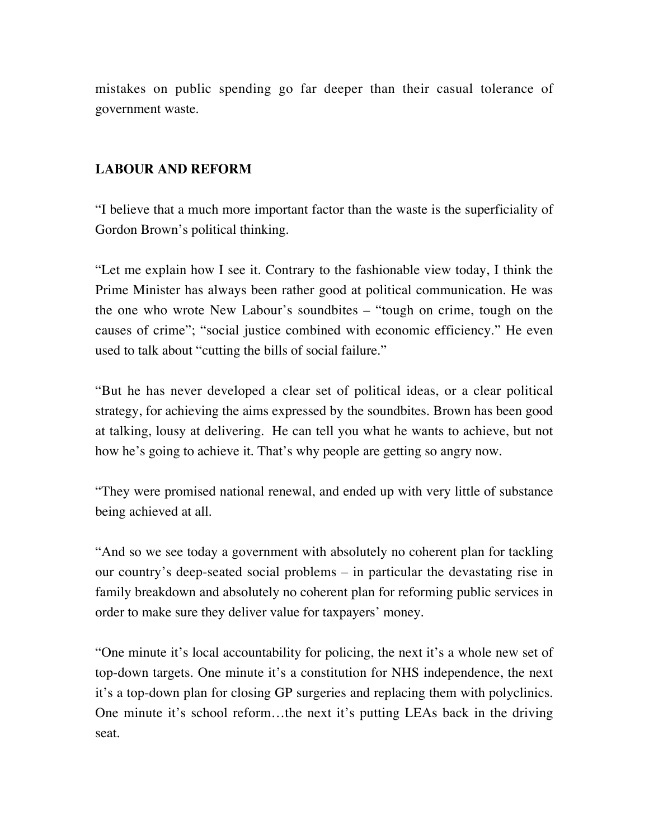mistakes on public spending go far deeper than their casual tolerance of government waste.

## **LABOUR AND REFORM**

"I believe that a much more important factor than the waste is the superficiality of Gordon Brown's political thinking.

"Let me explain how I see it. Contrary to the fashionable view today, I think the Prime Minister has always been rather good at political communication. He was the one who wrote New Labour's soundbites – "tough on crime, tough on the causes of crime"; "social justice combined with economic efficiency." He even used to talk about "cutting the bills of social failure."

"But he has never developed a clear set of political ideas, or a clear political strategy, for achieving the aims expressed by the soundbites. Brown has been good at talking, lousy at delivering. He can tell you what he wants to achieve, but not how he's going to achieve it. That's why people are getting so angry now.

"They were promised national renewal, and ended up with very little of substance being achieved at all.

"And so we see today a government with absolutely no coherent plan for tackling our country's deep-seated social problems – in particular the devastating rise in family breakdown and absolutely no coherent plan for reforming public services in order to make sure they deliver value for taxpayers' money.

"One minute it's local accountability for policing, the next it's a whole new set of top-down targets. One minute it's a constitution for NHS independence, the next it's a top-down plan for closing GP surgeries and replacing them with polyclinics. One minute it's school reform…the next it's putting LEAs back in the driving seat.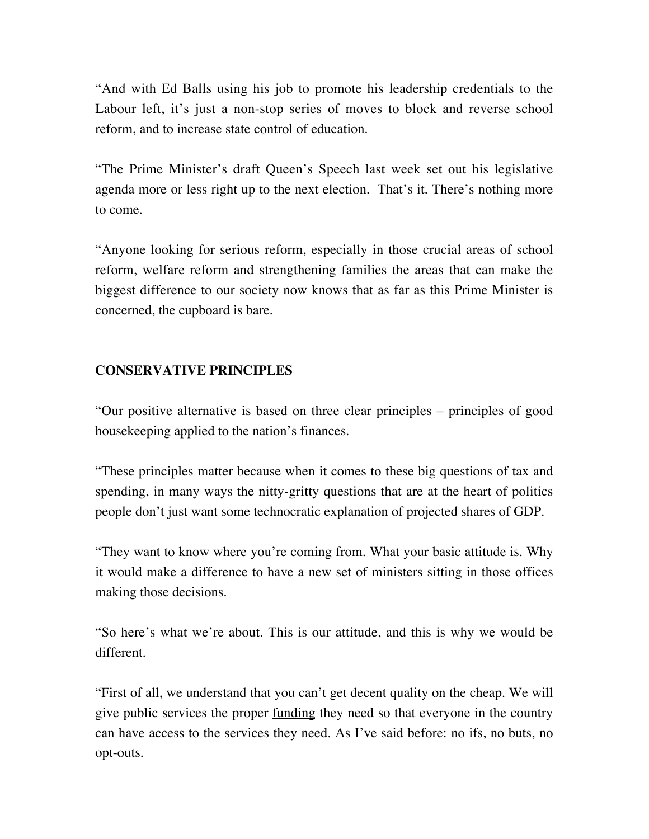"And with Ed Balls using his job to promote his leadership credentials to the Labour left, it's just a non-stop series of moves to block and reverse school reform, and to increase state control of education.

"The Prime Minister's draft Queen's Speech last week set out his legislative agenda more or less right up to the next election. That's it. There's nothing more to come.

"Anyone looking for serious reform, especially in those crucial areas of school reform, welfare reform and strengthening families the areas that can make the biggest difference to our society now knows that as far as this Prime Minister is concerned, the cupboard is bare.

## **CONSERVATIVE PRINCIPLES**

"Our positive alternative is based on three clear principles – principles of good housekeeping applied to the nation's finances.

"These principles matter because when it comes to these big questions of tax and spending, in many ways the nitty-gritty questions that are at the heart of politics people don't just want some technocratic explanation of projected shares of GDP.

"They want to know where you're coming from. What your basic attitude is. Why it would make a difference to have a new set of ministers sitting in those offices making those decisions.

"So here's what we're about. This is our attitude, and this is why we would be different.

"First of all, we understand that you can't get decent quality on the cheap. We will give public services the proper funding they need so that everyone in the country can have access to the services they need. As I've said before: no ifs, no buts, no opt-outs.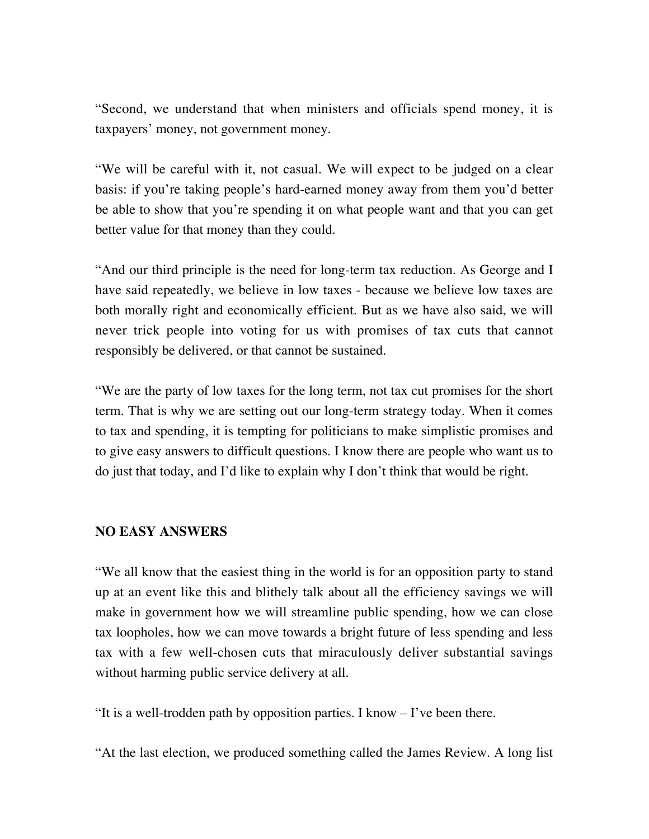"Second, we understand that when ministers and officials spend money, it is taxpayers' money, not government money.

"We will be careful with it, not casual. We will expect to be judged on a clear basis: if you're taking people's hard-earned money away from them you'd better be able to show that you're spending it on what people want and that you can get better value for that money than they could.

"And our third principle is the need for long-term tax reduction. As George and I have said repeatedly, we believe in low taxes - because we believe low taxes are both morally right and economically efficient. But as we have also said, we will never trick people into voting for us with promises of tax cuts that cannot responsibly be delivered, or that cannot be sustained.

"We are the party of low taxes for the long term, not tax cut promises for the short term. That is why we are setting out our long-term strategy today. When it comes to tax and spending, it is tempting for politicians to make simplistic promises and to give easy answers to difficult questions. I know there are people who want us to do just that today, and I'd like to explain why I don't think that would be right.

## **NO EASY ANSWERS**

"We all know that the easiest thing in the world is for an opposition party to stand up at an event like this and blithely talk about all the efficiency savings we will make in government how we will streamline public spending, how we can close tax loopholes, how we can move towards a bright future of less spending and less tax with a few well-chosen cuts that miraculously deliver substantial savings without harming public service delivery at all.

"It is a well-trodden path by opposition parties. I know  $-I$  ve been there.

"At the last election, we produced something called the James Review. A long list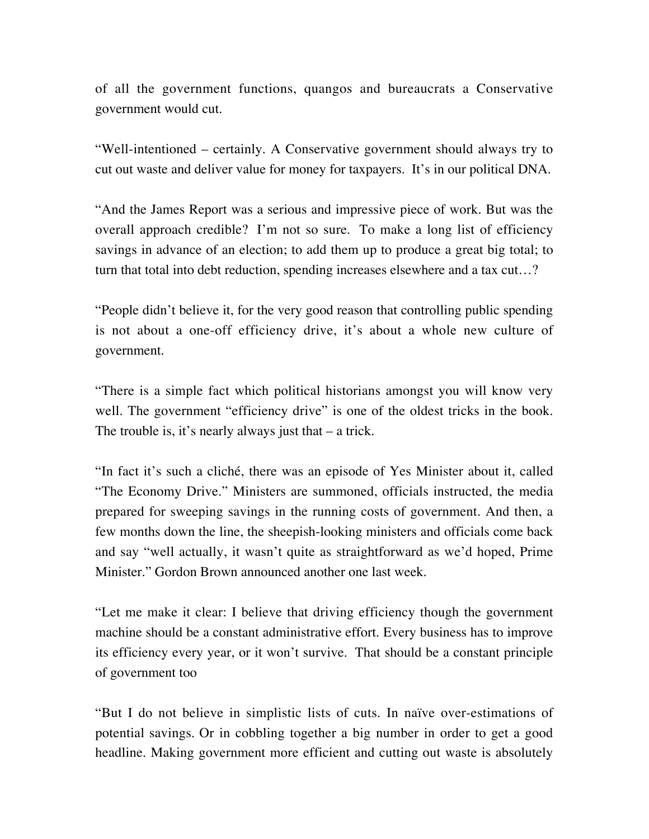of all the government functions, quangos and bureaucrats a Conservative government would cut.

"Well-intentioned – certainly. A Conservative government should always try to cut out waste and deliver value for money for taxpayers. It's in our political DNA.

"And the James Report was a serious and impressive piece of work. But was the overall approach credible? I'm not so sure. To make a long list of efficiency savings in advance of an election; to add them up to produce a great big total; to turn that total into debt reduction, spending increases elsewhere and a tax cut…?

"People didn't believe it, for the very good reason that controlling public spending is not about a one-off efficiency drive, it's about a whole new culture of government.

"There is a simple fact which political historians amongst you will know very well. The government "efficiency drive" is one of the oldest tricks in the book. The trouble is, it's nearly always just that – a trick.

"In fact it's such a cliché, there was an episode of Yes Minister about it, called "The Economy Drive." Ministers are summoned, officials instructed, the media prepared for sweeping savings in the running costs of government. And then, a few months down the line, the sheepish-looking ministers and officials come back and say "well actually, it wasn't quite as straightforward as we'd hoped, Prime Minister." Gordon Brown announced another one last week.

"Let me make it clear: I believe that driving efficiency though the government machine should be a constant administrative effort. Every business has to improve its efficiency every year, or it won't survive. That should be a constant principle of government too

"But I do not believe in simplistic lists of cuts. In naïve over-estimations of potential savings. Or in cobbling together a big number in order to get a good headline. Making government more efficient and cutting out waste is absolutely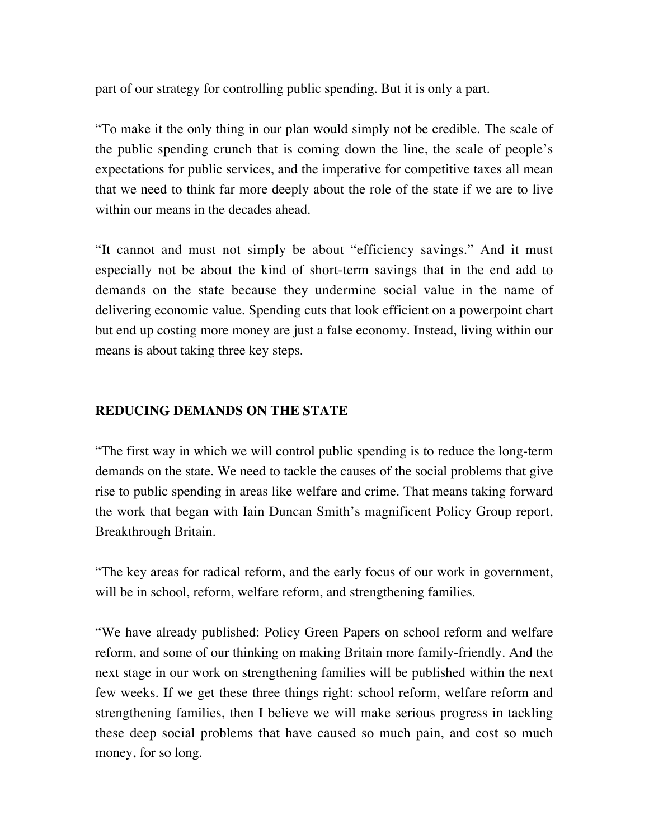part of our strategy for controlling public spending. But it is only a part.

"To make it the only thing in our plan would simply not be credible. The scale of the public spending crunch that is coming down the line, the scale of people's expectations for public services, and the imperative for competitive taxes all mean that we need to think far more deeply about the role of the state if we are to live within our means in the decades ahead.

"It cannot and must not simply be about "efficiency savings." And it must especially not be about the kind of short-term savings that in the end add to demands on the state because they undermine social value in the name of delivering economic value. Spending cuts that look efficient on a powerpoint chart but end up costing more money are just a false economy. Instead, living within our means is about taking three key steps.

# **REDUCING DEMANDS ON THE STATE**

"The first way in which we will control public spending is to reduce the long-term demands on the state. We need to tackle the causes of the social problems that give rise to public spending in areas like welfare and crime. That means taking forward the work that began with Iain Duncan Smith's magnificent Policy Group report, Breakthrough Britain.

"The key areas for radical reform, and the early focus of our work in government, will be in school, reform, welfare reform, and strengthening families.

"We have already published: Policy Green Papers on school reform and welfare reform, and some of our thinking on making Britain more family-friendly. And the next stage in our work on strengthening families will be published within the next few weeks. If we get these three things right: school reform, welfare reform and strengthening families, then I believe we will make serious progress in tackling these deep social problems that have caused so much pain, and cost so much money, for so long.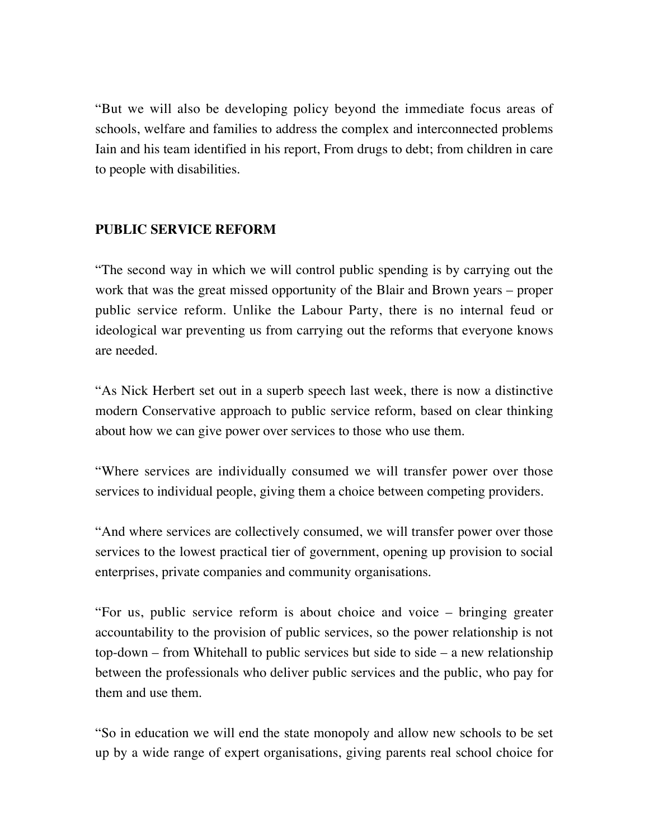"But we will also be developing policy beyond the immediate focus areas of schools, welfare and families to address the complex and interconnected problems Iain and his team identified in his report, From drugs to debt; from children in care to people with disabilities.

## **PUBLIC SERVICE REFORM**

"The second way in which we will control public spending is by carrying out the work that was the great missed opportunity of the Blair and Brown years – proper public service reform. Unlike the Labour Party, there is no internal feud or ideological war preventing us from carrying out the reforms that everyone knows are needed.

"As Nick Herbert set out in a superb speech last week, there is now a distinctive modern Conservative approach to public service reform, based on clear thinking about how we can give power over services to those who use them.

"Where services are individually consumed we will transfer power over those services to individual people, giving them a choice between competing providers.

"And where services are collectively consumed, we will transfer power over those services to the lowest practical tier of government, opening up provision to social enterprises, private companies and community organisations.

"For us, public service reform is about choice and voice – bringing greater accountability to the provision of public services, so the power relationship is not  $top-down - from Whitchall to public services but side to side - a new relationship$ between the professionals who deliver public services and the public, who pay for them and use them.

"So in education we will end the state monopoly and allow new schools to be set up by a wide range of expert organisations, giving parents real school choice for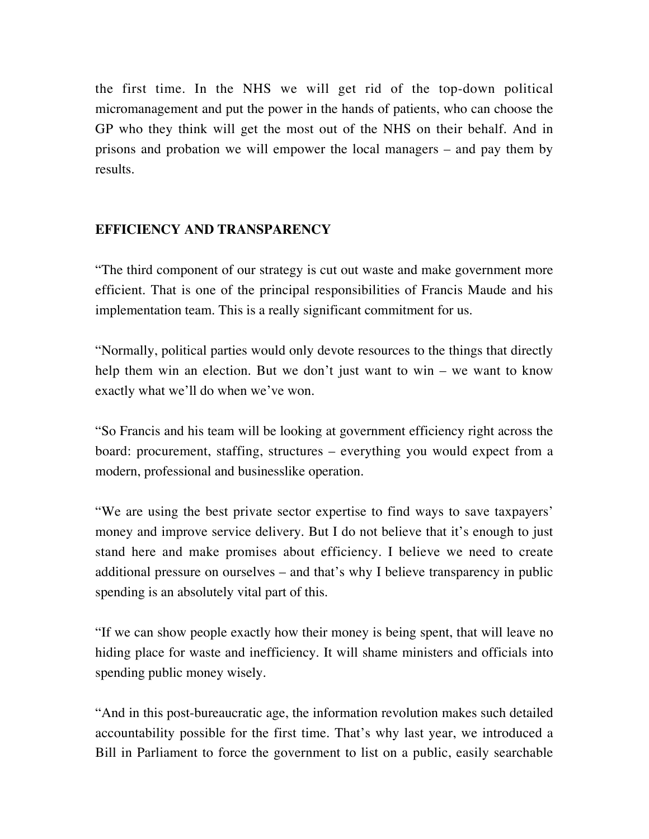the first time. In the NHS we will get rid of the top-down political micromanagement and put the power in the hands of patients, who can choose the GP who they think will get the most out of the NHS on their behalf. And in prisons and probation we will empower the local managers – and pay them by results.

# **EFFICIENCY AND TRANSPARENCY**

"The third component of our strategy is cut out waste and make government more efficient. That is one of the principal responsibilities of Francis Maude and his implementation team. This is a really significant commitment for us.

"Normally, political parties would only devote resources to the things that directly help them win an election. But we don't just want to win – we want to know exactly what we'll do when we've won.

"So Francis and his team will be looking at government efficiency right across the board: procurement, staffing, structures – everything you would expect from a modern, professional and businesslike operation.

"We are using the best private sector expertise to find ways to save taxpayers' money and improve service delivery. But I do not believe that it's enough to just stand here and make promises about efficiency. I believe we need to create additional pressure on ourselves – and that's why I believe transparency in public spending is an absolutely vital part of this.

"If we can show people exactly how their money is being spent, that will leave no hiding place for waste and inefficiency. It will shame ministers and officials into spending public money wisely.

"And in this post-bureaucratic age, the information revolution makes such detailed accountability possible for the first time. That's why last year, we introduced a Bill in Parliament to force the government to list on a public, easily searchable